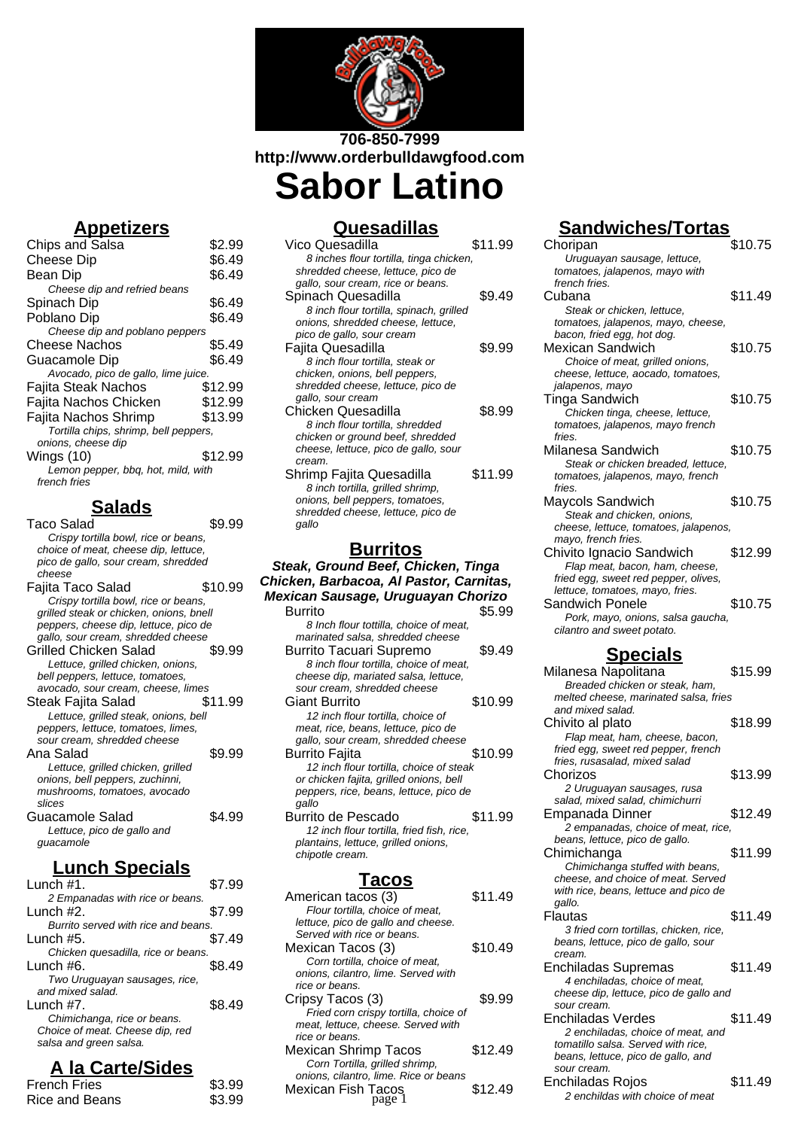

**http://www.orderbulldawgfood.com Sabor Latino**

# **Appetizers**

| <b>Chips and Salsa</b>                | \$2.99  |
|---------------------------------------|---------|
| Cheese Dip                            | \$6.49  |
| Bean Dip                              | \$6.49  |
| Cheese dip and refried beans          |         |
| Spinach Dip                           | \$6.49  |
| Poblano Dip                           | \$6.49  |
| Cheese dip and poblano peppers        |         |
| Cheese Nachos                         | \$5.49  |
| Guacamole Dip                         | \$6.49  |
| Avocado, pico de gallo, lime juice.   |         |
| Fajita Steak Nachos                   | \$12.99 |
| Fajita Nachos Chicken                 | \$12.99 |
| Fajita Nachos Shrimp                  | \$13.99 |
| Tortilla chips, shrimp, bell peppers, |         |
| onions, cheese dip                    |         |
| Wings (10)                            | \$12.99 |
| Lemon pepper, bbq, hot, mild, with    |         |
| french fries                          |         |
|                                       |         |

# **Salads**

Taco Salad \$9.99 Crispy tortilla bowl, rice or beans, choice of meat, cheese dip, lettuce, pico de gallo, sour cream, shredded cheese Fajita Taco Salad \$10.99 Crispy tortilla bowl, rice or beans, grilled steak or chicken, onions, bnell peppers, cheese dip, lettuce, pico de gallo, sour cream, shredded cheese Grilled Chicken Salad \$9.99 Lettuce, grilled chicken, onions, bell peppers, lettuce, tomatoes, avocado, sour cream, cheese, limes Steak Fajita Salad \$11.99 Lettuce, grilled steak, onions, bell peppers, lettuce, tomatoes, limes, sour cream, shredded cheese Ana Salad  $$9.99$ Lettuce, grilled chicken, grilled onions, bell peppers, zuchinni, mushrooms, tomatoes, avocado slices Guacamole Salad \$4.99 Lettuce, pico de gallo and guacamole

# **Lunch Specials**

| Lunch $#1$ .                        | \$7.99 |
|-------------------------------------|--------|
| 2 Empanadas with rice or beans.     |        |
| Lunch #2.                           | \$7.99 |
| Burrito served with rice and beans. |        |
| Lunch #5.                           | \$7.49 |
| Chicken quesadilla, rice or beans.  |        |
| Lunch $#6.$                         | S8 49  |
| Two Uruguayan sausages, rice,       |        |
| and mixed salad.                    |        |
| Lunch #7.                           | S8 49  |
| Chimichanga, rice or beans.         |        |
| Choice of meat. Cheese dip, red     |        |
| salsa and green salsa.              |        |
|                                     |        |

# **A la Carte/Sides**

| <b>French Fries</b> | \$3.99 |
|---------------------|--------|
| Rice and Beans      | \$3.99 |

## **Quesadillas**

| Vico Quesadilla                         | \$11.99 |
|-----------------------------------------|---------|
| 8 inches flour tortilla, tinga chicken, |         |
| shredded cheese, lettuce, pico de       |         |
| gallo, sour cream, rice or beans.       |         |
| Spinach Quesadilla                      | \$9.49  |
| 8 inch flour tortilla, spinach, grilled |         |
| onions, shredded cheese, lettuce,       |         |
| pico de gallo, sour cream               |         |
| Fajita Quesadilla                       | \$9.99  |
| 8 inch flour tortilla, steak or         |         |
| chicken, onions, bell peppers,          |         |
| shredded cheese, lettuce, pico de       |         |
| gallo, sour cream                       |         |
| Chicken Quesadilla                      | \$8.99  |
| 8 inch flour tortilla, shredded         |         |
| chicken or ground beef, shredded        |         |
| cheese, lettuce, pico de gallo, sour    |         |
| cream.                                  |         |
| Shrimp Fajita Quesadilla                | \$11.99 |
| 8 inch tortilla, grilled shrimp,        |         |
| onions, bell peppers, tomatoes,         |         |
| shredded cheese, lettuce, pico de       |         |
| gallo                                   |         |
| , , , , , ; 1 ,                         |         |

#### **Burritos**

#### **Steak, Ground Beef, Chicken, Tinga Chicken, Barbacoa, Al Pastor, Carnitas, Mexican Sausage, Uruguayan Chorizo**

| Burrito                                   | 95.99   |
|-------------------------------------------|---------|
| 8 Inch flour tottilla, choice of meat,    |         |
| marinated salsa, shredded cheese          |         |
| <b>Burrito Tacuari Supremo</b>            | \$9.49  |
| 8 inch flour tortilla, choice of meat,    |         |
| cheese dip, mariated salsa, lettuce,      |         |
| sour cream, shredded cheese               |         |
| Giant Burrito                             | \$10.99 |
| 12 inch flour tortilla, choice of         |         |
| meat, rice, beans, lettuce, pico de       |         |
| gallo, sour cream, shredded cheese        |         |
| Burrito Fajita                            | \$10.99 |
| 12 inch flour tortilla, choice of steak   |         |
| or chicken fajita, grilled onions, bell   |         |
| peppers, rice, beans, lettuce, pico de    |         |
| qallo                                     |         |
| Burrito de Pescado                        | \$11.99 |
| 12 inch flour tortilla, fried fish, rice, |         |
| plantains, lettuce, grilled onions,       |         |
| chipotle cream.                           |         |
|                                           |         |

### **Tacos**

| American tacos (3)                    | \$11.49 |
|---------------------------------------|---------|
| Flour tortilla, choice of meat.       |         |
| lettuce, pico de gallo and cheese.    |         |
| Served with rice or beans.            |         |
| Mexican Tacos (3)                     | \$10.49 |
| Corn tortilla, choice of meat,        |         |
| onions, cilantro, lime, Served with   |         |
| rice or beans.                        |         |
| Cripsy Tacos (3)                      | \$9.99  |
| Fried corn crispy tortilla, choice of |         |
| meat, lettuce, cheese. Served with    |         |
| rice or beans.                        |         |
| Mexican Shrimp Tacos                  | \$12.49 |
| Corn Tortilla, grilled shrimp,        |         |
| onions, cilantro, lime. Rice or beans |         |
| Mexican Fish Tacos                    | \$12.49 |
|                                       |         |

# **Sandwiches/Tortas**

| Choripan                              | \$10.75 |
|---------------------------------------|---------|
| Uruguayan sausage, lettuce,           |         |
| tomatoes, jalapenos, mayo with        |         |
| french fries.                         |         |
| Cubana                                | \$11.49 |
| Steak or chicken, lettuce,            |         |
| tomatoes, jalapenos, mayo, cheese,    |         |
| bacon, fried egg, hot dog.            |         |
| Mexican Sandwich                      | \$10.75 |
| Choice of meat, grilled onions,       |         |
| cheese, lettuce, aocado, tomatoes,    |         |
| jalapenos, mayo                       |         |
| Tinga Sandwich                        | \$10.75 |
| Chicken tinga, cheese, lettuce,       |         |
| tomatoes, jalapenos, mayo french      |         |
| fries.                                |         |
| Milanesa Sandwich                     | \$10.75 |
| Steak or chicken breaded, lettuce,    |         |
| tomatoes, jalapenos, mayo, french     |         |
| fries.                                |         |
| Maycols Sandwich                      | \$10.75 |
| Steak and chicken, onions,            |         |
| cheese, lettuce, tomatoes, jalapenos, |         |
| mayo, french fries.                   |         |
| Chivito Ignacio Sandwich              | \$12.99 |
| Flap meat, bacon, ham, cheese,        |         |
| fried egg, sweet red pepper, olives,  |         |
| lettuce, tomatoes, mayo, fries.       |         |
| Sandwich Ponele                       | \$10.75 |
| Pork, mayo, onions, salsa gaucha,     |         |
| cilantro and sweet potato.            |         |
| <u>Specials</u>                       |         |
|                                       |         |

| rtilla, choice of meat,                      |         | <u>98991819</u>                        |         |
|----------------------------------------------|---------|----------------------------------------|---------|
| iated salsa, lettuce,                        |         | Milanesa Napolitana                    | \$15.99 |
| edded cheese                                 |         | Breaded chicken or steak, ham,         |         |
|                                              | \$10.99 | melted cheese, marinated salsa, fries  |         |
| ortilla, choice of                           |         | and mixed salad.                       |         |
| s, lettuce, pico de                          |         | Chivito al plato                       | \$18.99 |
| n, shredded cheese                           |         | Flap meat, ham, cheese, bacon,         |         |
|                                              | \$10.99 | fried egg, sweet red pepper, french    |         |
| ortilla, choice of steak                     |         | fries, rusasalad, mixed salad          |         |
| grilled onions, bell                         |         | Chorizos                               | \$13.99 |
| eans, lettuce, pico de                       |         | 2 Uruguayan sausages, rusa             |         |
|                                              |         | salad, mixed salad, chimichurri        |         |
| cado                                         | \$11.99 | Empanada Dinner                        | \$12.49 |
| ortilla, fried fish, rice,                   |         | 2 empanadas, choice of meat, rice,     |         |
| e, grilled onions,                           |         | beans, lettuce, pico de gallo.         |         |
|                                              |         | Chimichanga                            | \$11.99 |
|                                              |         | Chimichanga stuffed with beans,        |         |
| <u>acos</u>                                  |         | cheese, and choice of meat. Served     |         |
|                                              | \$11.49 | with rice, beans, lettuce and pico de  |         |
| s (3)                                        |         | gallo.                                 |         |
| choice of meat,                              |         | Flautas                                | \$11.49 |
| gallo and cheese.<br>or beans.               |         | 3 fried corn tortillas, chicken, rice, |         |
|                                              | \$10.49 | beans, lettuce, pico de gallo, sour    |         |
| s (3)                                        |         | cream.                                 |         |
| hoice of meat.<br>lime. Served with          |         | Enchiladas Supremas                    | \$11.49 |
|                                              |         | 4 enchiladas, choice of meat,          |         |
|                                              | \$9.99  | cheese dip, lettuce, pico de gallo and |         |
| 3)                                           |         | sour cream.                            |         |
| spy tortilla, choice of<br>eese. Served with |         | Enchiladas Verdes                      | \$11.49 |
|                                              |         | 2 enchiladas, choice of meat, and      |         |
| ıp Tacos                                     | \$12.49 | tomatillo salsa. Served with rice,     |         |
| grilled shrimp,                              |         | beans, lettuce, pico de gallo, and     |         |
| lime. Rice or beans                          |         | sour cream.                            |         |
| ୮acos                                        | \$12.49 | Enchiladas Rojos                       | \$11.49 |
| page 1                                       |         | 2 enchildas with choice of meat        |         |
|                                              |         |                                        |         |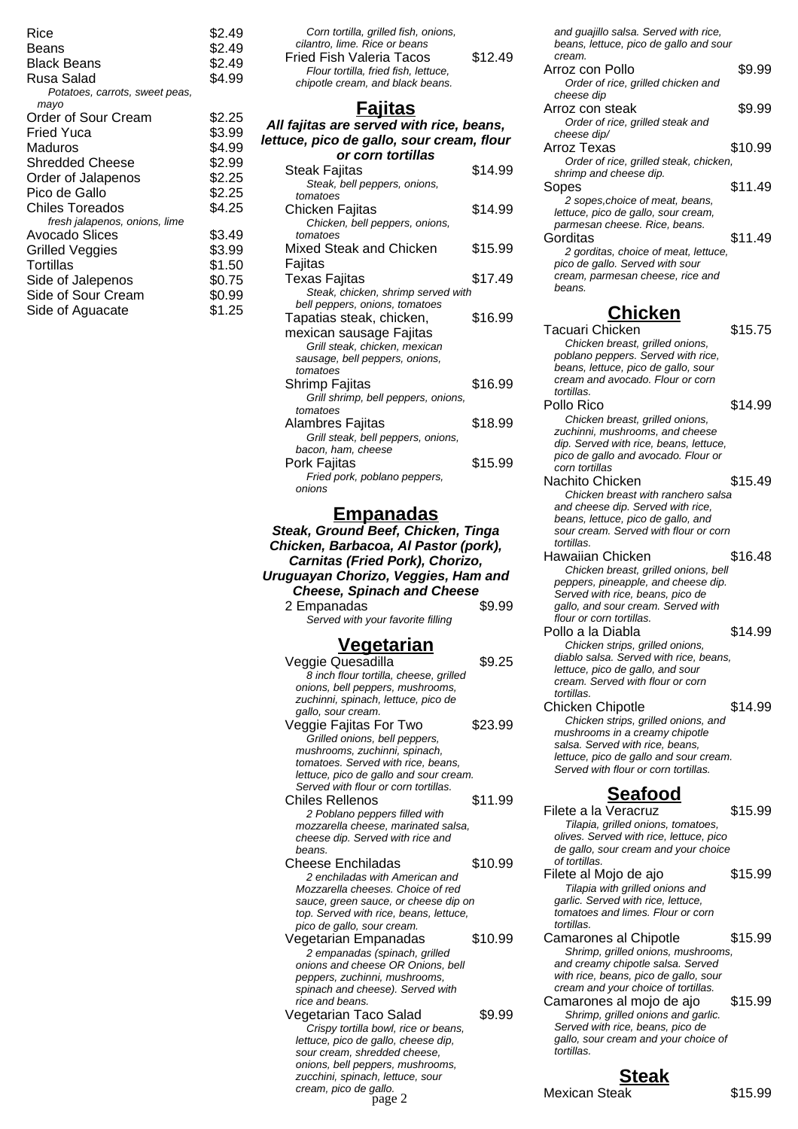| \$2.49 |
|--------|
| \$2.49 |
| \$2.49 |
| \$4.99 |
|        |
| \$2.25 |
| \$3.99 |
| \$4.99 |
| \$2.99 |
| \$2.25 |
| \$2.25 |
| \$4.25 |
|        |
| \$3.49 |
| \$3.99 |
| \$1.50 |
| \$0.75 |
| \$0.99 |
| \$1.25 |
|        |

| Corn tortilla, grilled fish, onions,<br>cilantro. lime. Rice or beans |         |
|-----------------------------------------------------------------------|---------|
| <b>Fried Fish Valeria Tacos</b>                                       | \$12.49 |
| Flour tortilla, fried fish, lettuce,                                  |         |
| chipotle cream, and black beans.                                      |         |

## **Fajitas**

| <u>ajitas</u>                                            |         |
|----------------------------------------------------------|---------|
| All fajitas are served with rice, beans,                 |         |
| lettuce, pico de gallo, sour cream, flour                |         |
| or corn tortillas                                        |         |
| Steak Fajitas                                            | \$14.99 |
| Steak, bell peppers, onions,                             |         |
| tomatoes                                                 |         |
| Chicken Fajitas                                          | \$14.99 |
| Chicken, bell peppers, onions,                           |         |
| tomatoes                                                 |         |
| Mixed Steak and Chicken                                  | \$15.99 |
| Fajitas                                                  |         |
| <b>Texas Fajitas</b>                                     | \$17.49 |
| Steak, chicken, shrimp served with                       |         |
| bell peppers, onions, tomatoes                           |         |
| Tapatias steak, chicken,                                 | \$16.99 |
| mexican sausage Fajitas                                  |         |
| Grill steak, chicken, mexican                            |         |
| sausage, bell peppers, onions,                           |         |
| tomatoes                                                 |         |
| Shrimp Fajitas                                           | \$16.99 |
| Grill shrimp, bell peppers, onions,                      |         |
| tomatoes                                                 | \$18.99 |
| Alambres Fajitas                                         |         |
| Grill steak, bell peppers, onions,<br>bacon, ham, cheese |         |
| Pork Fajitas                                             | \$15.99 |
| Fried pork, poblano peppers,                             |         |
| onions                                                   |         |
|                                                          |         |

#### **Empanadas**

**Steak, Ground Beef, Chicken, Tinga Chicken, Barbacoa, Al Pastor (pork), Carnitas (Fried Pork), Chorizo, Uruguayan Chorizo, Veggies, Ham and Cheese, Spinach and Cheese** 2 Empanadas  $$9.99$ Served with your favorite filling

# **Vegetarian**

| Veggie Quesadilla                      | \$9.25  |
|----------------------------------------|---------|
| 8 inch flour tortilla, cheese, grilled |         |
| onions, bell peppers, mushrooms,       |         |
| zuchinni, spinach, lettuce, pico de    |         |
| gallo, sour cream.                     |         |
| Veggie Fajitas For Two                 | \$23.99 |
| Grilled onions, bell peppers,          |         |
| mushrooms, zuchinni, spinach,          |         |
| tomatoes. Served with rice, beans,     |         |
| lettuce, pico de gallo and sour cream. |         |
| Served with flour or corn tortillas.   |         |
| Chiles Rellenos                        | \$11.99 |
| 2 Poblano peppers filled with          |         |
| mozzarella cheese, marinated salsa,    |         |
| cheese dip. Served with rice and       |         |
| beans.                                 |         |
| Cheese Enchiladas                      | \$10.99 |
| 2 enchiladas with American and         |         |
| Mozzarella cheeses. Choice of red      |         |
| sauce, green sauce, or cheese dip on   |         |
| top. Served with rice, beans, lettuce, |         |
| pico de gallo, sour cream.             |         |
| Vegetarian Empanadas                   | \$10.99 |
| 2 empanadas (spinach, grilled          |         |
| onions and cheese OR Onions, bell      |         |
| peppers, zuchinni, mushrooms,          |         |
| spinach and cheese). Served with       |         |
| rice and beans.                        |         |
| Vegetarian Taco Salad                  | \$9.99  |
| Crispy tortilla bowl, rice or beans,   |         |
| lettuce, pico de gallo, cheese dip,    |         |
| sour cream, shredded cheese,           |         |
| onions, bell peppers, mushrooms,       |         |
| zucchini, spinach, lettuce, sour       |         |
| cream, pico de gallo.                  |         |
| page 2                                 |         |

Order of rice, grilled steak, chicken, shrimp and cheese dip. Sopes \$11.49 2 sopes,choice of meat, beans, lettuce, pico de gallo, sour cream, parmesan cheese. Rice, beans. Gorditas \$11.49 2 gorditas, choice of meat, lettuce, pico de gallo. Served with sour cream, parmesan cheese, rice and beans. **Chicken** Tacuari Chicken \$15.75 Chicken breast, grilled onions, poblano peppers. Served with rice, beans, lettuce, pico de gallo, sour cream and avocado. Flour or corn tortillas. Pollo Rico \$14.99 Chicken breast, grilled onions, zuchinni, mushrooms, and cheese dip. Served with rice, beans, lettuce, pico de gallo and avocado. Flour or corn tortillas Nachito Chicken \$15.49 Chicken breast with ranchero salsa and cheese dip. Served with rice, beans, lettuce, pico de gallo, and sour cream. Served with flour or corn

and guajillo salsa. Served with rice, beans, lettuce, pico de gallo and sour

Arroz con Pollo  $$9.99$ Order of rice, grilled chicken and

Arroz con steak \$9.99 Order of rice, grilled steak and

Arroz Texas \$10.99

cream.

cheese dip

cheese dip/

tortillas. Hawaiian Chicken **\$16.48** Chicken breast, grilled onions, bell peppers, pineapple, and cheese dip. Served with rice, beans, pico de gallo, and sour cream. Served with flour or corn tortillas. Pollo a la Diabla  $$14.99$ Chicken strips, grilled onions, diablo salsa. Served with rice, beans, lettuce, pico de gallo, and sour cream. Served with flour or corn tortillas. Chicken Chipotle \$14.99 Chicken strips, grilled onions, and mushrooms in a creamy chipotle salsa. Served with rice, beans, lettuce, pico de gallo and sour cream. Served with flour or corn tortillas.

### **Seafood**

Filete a la Veracruz  $$15.99$ Tilapia, grilled onions, tomatoes, olives. Served with rice, lettuce, pico de gallo, sour cream and your choice of tortillas. Filete al Mojo de ajo  $$15.99$ Tilapia with grilled onions and garlic. Served with rice, lettuce, tomatoes and limes. Flour or corn tortillas. Camarones al Chipotle  $$15.99$ Shrimp, grilled onions, mushrooms, and creamy chipotle salsa. Served with rice, beans, pico de gallo, sour cream and your choice of tortillas. Camarones al moio de ajo \$15.99 Shrimp, grilled onions and garlic. Served with rice, beans, pico de gallo, sour cream and your choice of tortillas.

# **Steak**